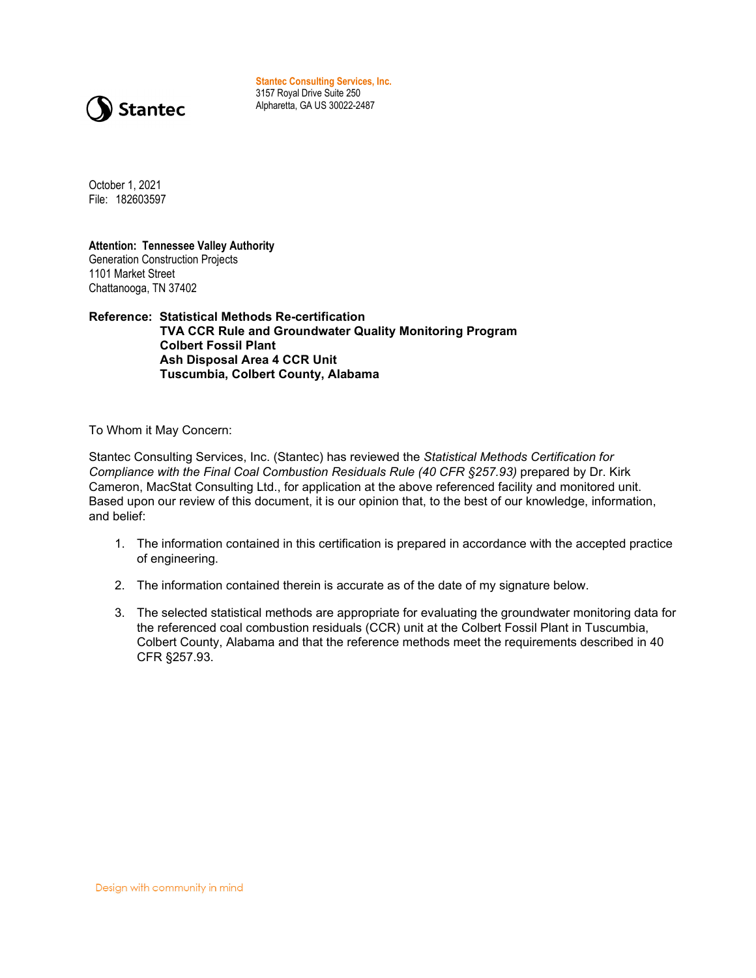

**Stantec Consulting Services, Inc.** 3157 Royal Drive Suite 250 Alpharetta, GA US 30022-2487

October 1, 2021 File: 182603597

**Attention: Tennessee Valley Authority** Generation Construction Projects 1101 Market Street Chattanooga, TN 37402

**Reference: Statistical Methods Re-certification TVA CCR Rule and Groundwater Quality Monitoring Program Colbert Fossil Plant Ash Disposal Area 4 CCR Unit Tuscumbia, Colbert County, Alabama**

To Whom it May Concern:

Stantec Consulting Services, Inc. (Stantec) has reviewed the *Statistical Methods Certification for Compliance with the Final Coal Combustion Residuals Rule (40 CFR §257.93)* prepared by Dr. Kirk Cameron, MacStat Consulting Ltd., for application at the above referenced facility and monitored unit. Based upon our review of this document, it is our opinion that, to the best of our knowledge, information, and belief:

- 1. The information contained in this certification is prepared in accordance with the accepted practice of engineering.
- 2. The information contained therein is accurate as of the date of my signature below.
- 3. The selected statistical methods are appropriate for evaluating the groundwater monitoring data for the referenced coal combustion residuals (CCR) unit at the Colbert Fossil Plant in Tuscumbia, Colbert County, Alabama and that the reference methods meet the requirements described in 40 CFR §257.93.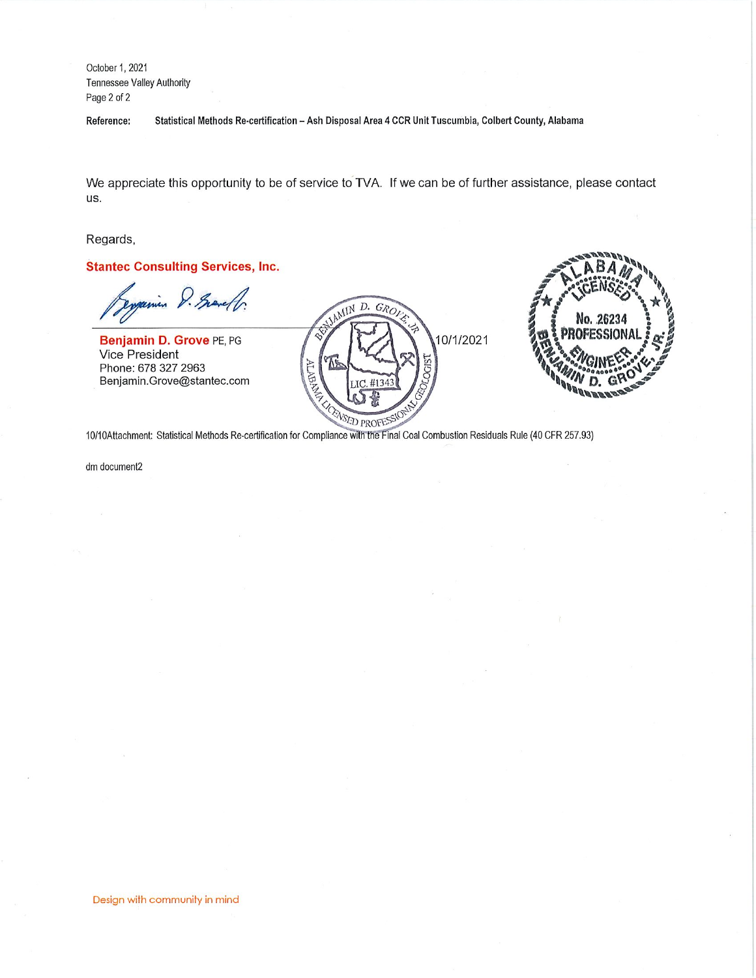October 1, 2021 Tennessee Valley Authority Page 2 of 2

Statistical Methods Re-certification - Ash Disposal Area 4 CCR Unit Tuscumbia, Colbert County, Alabama Reference:

We appreciate this opportunity to be of service to TVA. If we can be of further assistance, please contact us.

Regards,

**Stantec Consulting Services, Inc.** 

in D. Grandf.

Benjamin D. Grove PE, PG Vice President Phone: 678 327 2963 Benjamin.Grove@stantec.com





10/10Attachment: Statistical Methods Re-certification for Compliance with the Final Coal Combustion Residuals Rule (40 CFR 257.93)

dm document2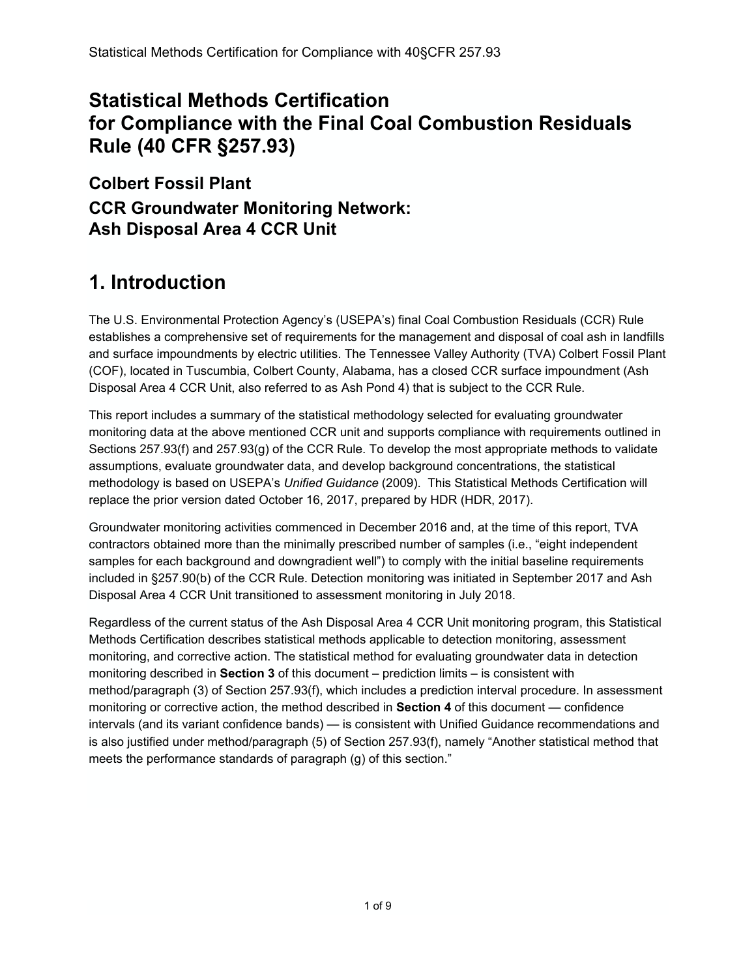## **Statistical Methods Certification for Compliance with the Final Coal Combustion Residuals Rule (40 CFR §257.93)**

**Colbert Fossil Plant CCR Groundwater Monitoring Network: Ash Disposal Area 4 CCR Unit** 

# **1. Introduction**

The U.S. Environmental Protection Agency's (USEPA's) final Coal Combustion Residuals (CCR) Rule establishes a comprehensive set of requirements for the management and disposal of coal ash in landfills and surface impoundments by electric utilities. The Tennessee Valley Authority (TVA) Colbert Fossil Plant (COF), located in Tuscumbia, Colbert County, Alabama, has a closed CCR surface impoundment (Ash Disposal Area 4 CCR Unit, also referred to as Ash Pond 4) that is subject to the CCR Rule.

This report includes a summary of the statistical methodology selected for evaluating groundwater monitoring data at the above mentioned CCR unit and supports compliance with requirements outlined in Sections 257.93(f) and 257.93(g) of the CCR Rule. To develop the most appropriate methods to validate assumptions, evaluate groundwater data, and develop background concentrations, the statistical methodology is based on USEPA's *Unified Guidance* (2009). This Statistical Methods Certification will replace the prior version dated October 16, 2017, prepared by HDR (HDR, 2017).

Groundwater monitoring activities commenced in December 2016 and, at the time of this report, TVA contractors obtained more than the minimally prescribed number of samples (i.e., "eight independent samples for each background and downgradient well") to comply with the initial baseline requirements included in §257.90(b) of the CCR Rule. Detection monitoring was initiated in September 2017 and Ash Disposal Area 4 CCR Unit transitioned to assessment monitoring in July 2018.

Regardless of the current status of the Ash Disposal Area 4 CCR Unit monitoring program, this Statistical Methods Certification describes statistical methods applicable to detection monitoring, assessment monitoring, and corrective action. The statistical method for evaluating groundwater data in detection monitoring described in **Section 3** of this document – prediction limits – is consistent with method/paragraph (3) of Section 257.93(f), which includes a prediction interval procedure. In assessment monitoring or corrective action, the method described in **Section 4** of this document — confidence intervals (and its variant confidence bands) — is consistent with Unified Guidance recommendations and is also justified under method/paragraph (5) of Section 257.93(f), namely "Another statistical method that meets the performance standards of paragraph (g) of this section."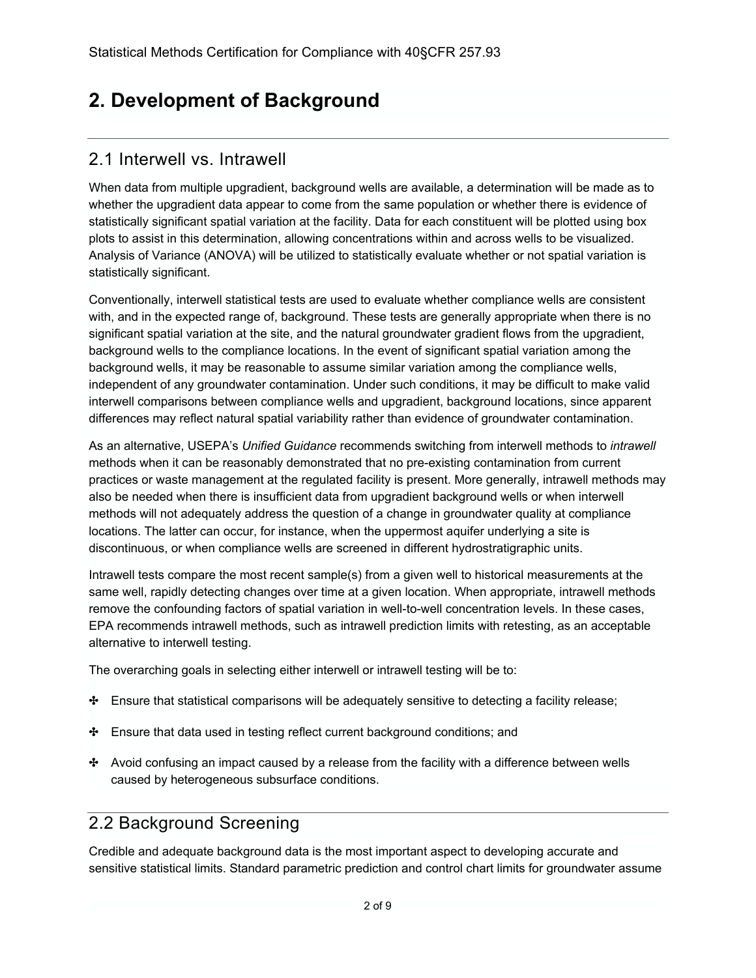## **2. Development of Background**

#### 2.1 Interwell vs. Intrawell

When data from multiple upgradient, background wells are available, a determination will be made as to whether the upgradient data appear to come from the same population or whether there is evidence of statistically significant spatial variation at the facility. Data for each constituent will be plotted using box plots to assist in this determination, allowing concentrations within and across wells to be visualized. Analysis of Variance (ANOVA) will be utilized to statistically evaluate whether or not spatial variation is statistically significant.

Conventionally, interwell statistical tests are used to evaluate whether compliance wells are consistent with, and in the expected range of, background. These tests are generally appropriate when there is no significant spatial variation at the site, and the natural groundwater gradient flows from the upgradient, background wells to the compliance locations. In the event of significant spatial variation among the background wells, it may be reasonable to assume similar variation among the compliance wells, independent of any groundwater contamination. Under such conditions, it may be difficult to make valid interwell comparisons between compliance wells and upgradient, background locations, since apparent differences may reflect natural spatial variability rather than evidence of groundwater contamination.

As an alternative, USEPA's *Unified Guidance* recommends switching from interwell methods to *intrawell* methods when it can be reasonably demonstrated that no pre-existing contamination from current practices or waste management at the regulated facility is present. More generally, intrawell methods may also be needed when there is insufficient data from upgradient background wells or when interwell methods will not adequately address the question of a change in groundwater quality at compliance locations. The latter can occur, for instance, when the uppermost aquifer underlying a site is discontinuous, or when compliance wells are screened in different hydrostratigraphic units.

Intrawell tests compare the most recent sample(s) from a given well to historical measurements at the same well, rapidly detecting changes over time at a given location. When appropriate, intrawell methods remove the confounding factors of spatial variation in well-to-well concentration levels. In these cases, EPA recommends intrawell methods, such as intrawell prediction limits with retesting, as an acceptable alternative to interwell testing.

The overarching goals in selecting either interwell or intrawell testing will be to:

- ✤ Ensure that statistical comparisons will be adequately sensitive to detecting a facility release;
- ✤ Ensure that data used in testing reflect current background conditions; and
- ✤ Avoid confusing an impact caused by a release from the facility with a difference between wells caused by heterogeneous subsurface conditions.

#### 2.2 Background Screening

Credible and adequate background data is the most important aspect to developing accurate and sensitive statistical limits. Standard parametric prediction and control chart limits for groundwater assume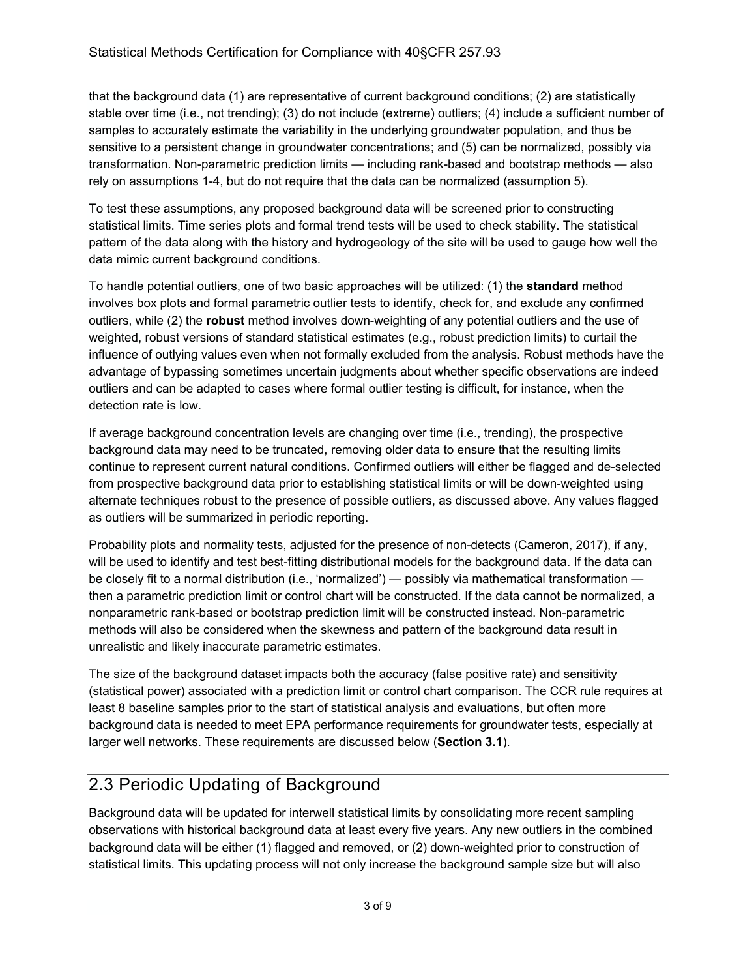that the background data (1) are representative of current background conditions; (2) are statistically stable over time (i.e., not trending); (3) do not include (extreme) outliers; (4) include a sufficient number of samples to accurately estimate the variability in the underlying groundwater population, and thus be sensitive to a persistent change in groundwater concentrations; and (5) can be normalized, possibly via transformation. Non-parametric prediction limits — including rank-based and bootstrap methods — also rely on assumptions 1-4, but do not require that the data can be normalized (assumption 5).

To test these assumptions, any proposed background data will be screened prior to constructing statistical limits. Time series plots and formal trend tests will be used to check stability. The statistical pattern of the data along with the history and hydrogeology of the site will be used to gauge how well the data mimic current background conditions.

To handle potential outliers, one of two basic approaches will be utilized: (1) the **standard** method involves box plots and formal parametric outlier tests to identify, check for, and exclude any confirmed outliers, while (2) the **robust** method involves down-weighting of any potential outliers and the use of weighted, robust versions of standard statistical estimates (e.g., robust prediction limits) to curtail the influence of outlying values even when not formally excluded from the analysis. Robust methods have the advantage of bypassing sometimes uncertain judgments about whether specific observations are indeed outliers and can be adapted to cases where formal outlier testing is difficult, for instance, when the detection rate is low.

If average background concentration levels are changing over time (i.e., trending), the prospective background data may need to be truncated, removing older data to ensure that the resulting limits continue to represent current natural conditions. Confirmed outliers will either be flagged and de-selected from prospective background data prior to establishing statistical limits or will be down-weighted using alternate techniques robust to the presence of possible outliers, as discussed above. Any values flagged as outliers will be summarized in periodic reporting.

Probability plots and normality tests, adjusted for the presence of non-detects (Cameron, 2017), if any, will be used to identify and test best-fitting distributional models for the background data. If the data can be closely fit to a normal distribution (i.e., 'normalized') — possibly via mathematical transformation then a parametric prediction limit or control chart will be constructed. If the data cannot be normalized, a nonparametric rank-based or bootstrap prediction limit will be constructed instead. Non-parametric methods will also be considered when the skewness and pattern of the background data result in unrealistic and likely inaccurate parametric estimates.

The size of the background dataset impacts both the accuracy (false positive rate) and sensitivity (statistical power) associated with a prediction limit or control chart comparison. The CCR rule requires at least 8 baseline samples prior to the start of statistical analysis and evaluations, but often more background data is needed to meet EPA performance requirements for groundwater tests, especially at larger well networks. These requirements are discussed below (**Section 3.1**).

#### 2.3 Periodic Updating of Background

Background data will be updated for interwell statistical limits by consolidating more recent sampling observations with historical background data at least every five years. Any new outliers in the combined background data will be either (1) flagged and removed, or (2) down-weighted prior to construction of statistical limits. This updating process will not only increase the background sample size but will also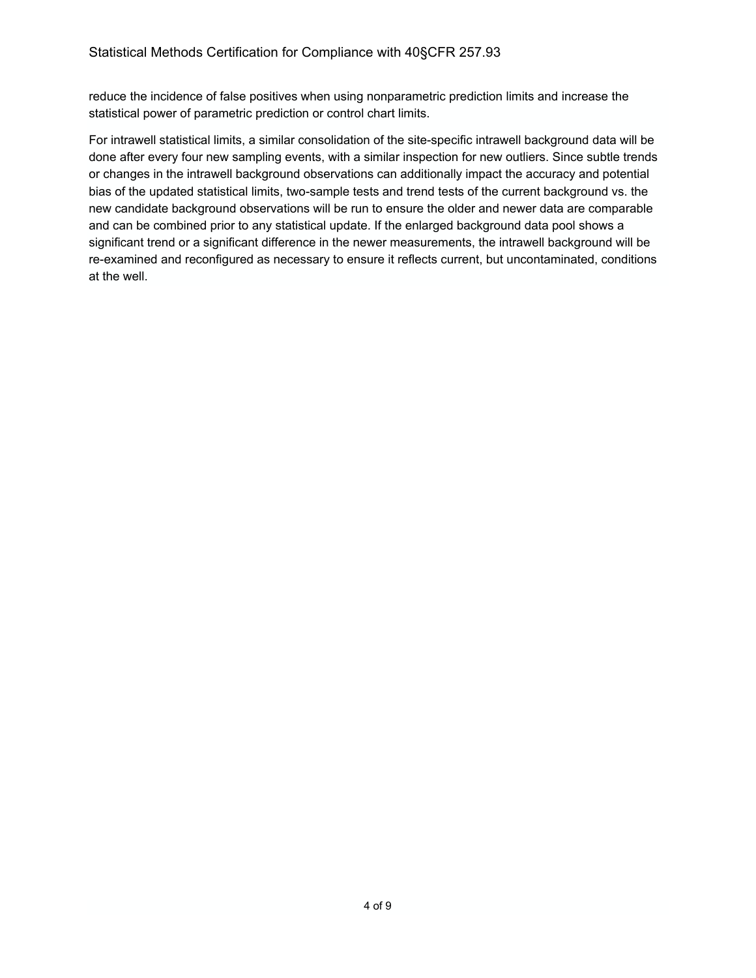reduce the incidence of false positives when using nonparametric prediction limits and increase the statistical power of parametric prediction or control chart limits.

For intrawell statistical limits, a similar consolidation of the site-specific intrawell background data will be done after every four new sampling events, with a similar inspection for new outliers. Since subtle trends or changes in the intrawell background observations can additionally impact the accuracy and potential bias of the updated statistical limits, two-sample tests and trend tests of the current background vs. the new candidate background observations will be run to ensure the older and newer data are comparable and can be combined prior to any statistical update. If the enlarged background data pool shows a significant trend or a significant difference in the newer measurements, the intrawell background will be re-examined and reconfigured as necessary to ensure it reflects current, but uncontaminated, conditions at the well.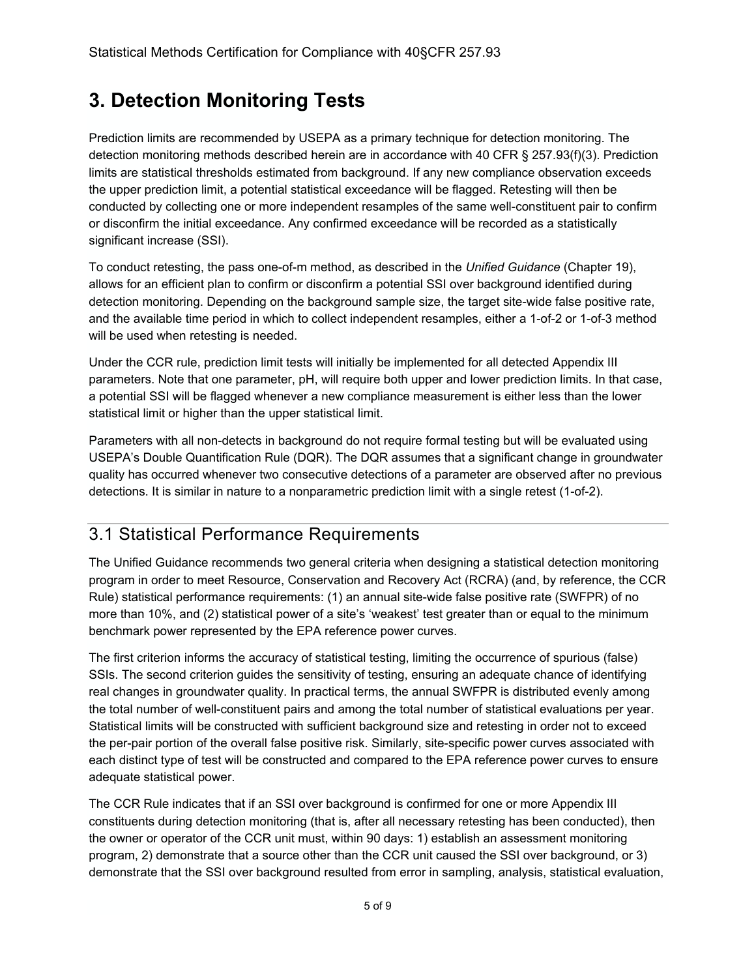## **3. Detection Monitoring Tests**

Prediction limits are recommended by USEPA as a primary technique for detection monitoring. The detection monitoring methods described herein are in accordance with 40 CFR § 257.93(f)(3). Prediction limits are statistical thresholds estimated from background. If any new compliance observation exceeds the upper prediction limit, a potential statistical exceedance will be flagged. Retesting will then be conducted by collecting one or more independent resamples of the same well-constituent pair to confirm or disconfirm the initial exceedance. Any confirmed exceedance will be recorded as a statistically significant increase (SSI).

To conduct retesting, the pass one-of-m method, as described in the *Unified Guidance* (Chapter 19), allows for an efficient plan to confirm or disconfirm a potential SSI over background identified during detection monitoring. Depending on the background sample size, the target site-wide false positive rate, and the available time period in which to collect independent resamples, either a 1-of-2 or 1-of-3 method will be used when retesting is needed.

Under the CCR rule, prediction limit tests will initially be implemented for all detected Appendix III parameters. Note that one parameter, pH, will require both upper and lower prediction limits. In that case, a potential SSI will be flagged whenever a new compliance measurement is either less than the lower statistical limit or higher than the upper statistical limit.

Parameters with all non-detects in background do not require formal testing but will be evaluated using USEPA's Double Quantification Rule (DQR). The DQR assumes that a significant change in groundwater quality has occurred whenever two consecutive detections of a parameter are observed after no previous detections. It is similar in nature to a nonparametric prediction limit with a single retest (1-of-2).

### 3.1 Statistical Performance Requirements

The Unified Guidance recommends two general criteria when designing a statistical detection monitoring program in order to meet Resource, Conservation and Recovery Act (RCRA) (and, by reference, the CCR Rule) statistical performance requirements: (1) an annual site-wide false positive rate (SWFPR) of no more than 10%, and (2) statistical power of a site's 'weakest' test greater than or equal to the minimum benchmark power represented by the EPA reference power curves.

The first criterion informs the accuracy of statistical testing, limiting the occurrence of spurious (false) SSIs. The second criterion guides the sensitivity of testing, ensuring an adequate chance of identifying real changes in groundwater quality. In practical terms, the annual SWFPR is distributed evenly among the total number of well-constituent pairs and among the total number of statistical evaluations per year. Statistical limits will be constructed with sufficient background size and retesting in order not to exceed the per-pair portion of the overall false positive risk. Similarly, site-specific power curves associated with each distinct type of test will be constructed and compared to the EPA reference power curves to ensure adequate statistical power.

The CCR Rule indicates that if an SSI over background is confirmed for one or more Appendix III constituents during detection monitoring (that is, after all necessary retesting has been conducted), then the owner or operator of the CCR unit must, within 90 days: 1) establish an assessment monitoring program, 2) demonstrate that a source other than the CCR unit caused the SSI over background, or 3) demonstrate that the SSI over background resulted from error in sampling, analysis, statistical evaluation,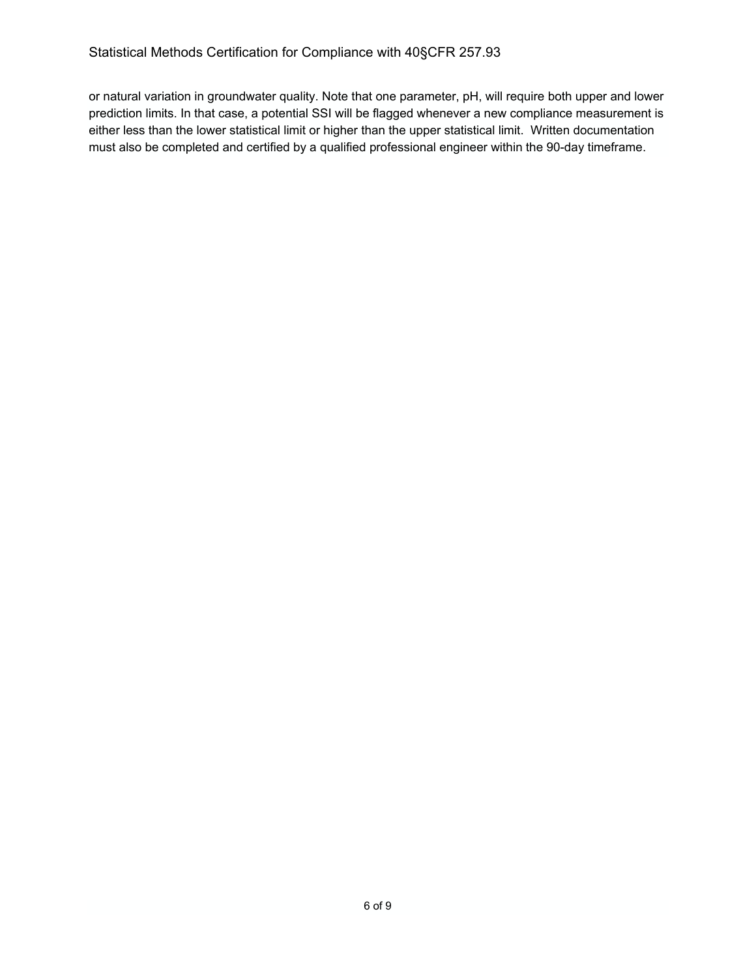or natural variation in groundwater quality. Note that one parameter, pH, will require both upper and lower prediction limits. In that case, a potential SSI will be flagged whenever a new compliance measurement is either less than the lower statistical limit or higher than the upper statistical limit. Written documentation must also be completed and certified by a qualified professional engineer within the 90-day timeframe.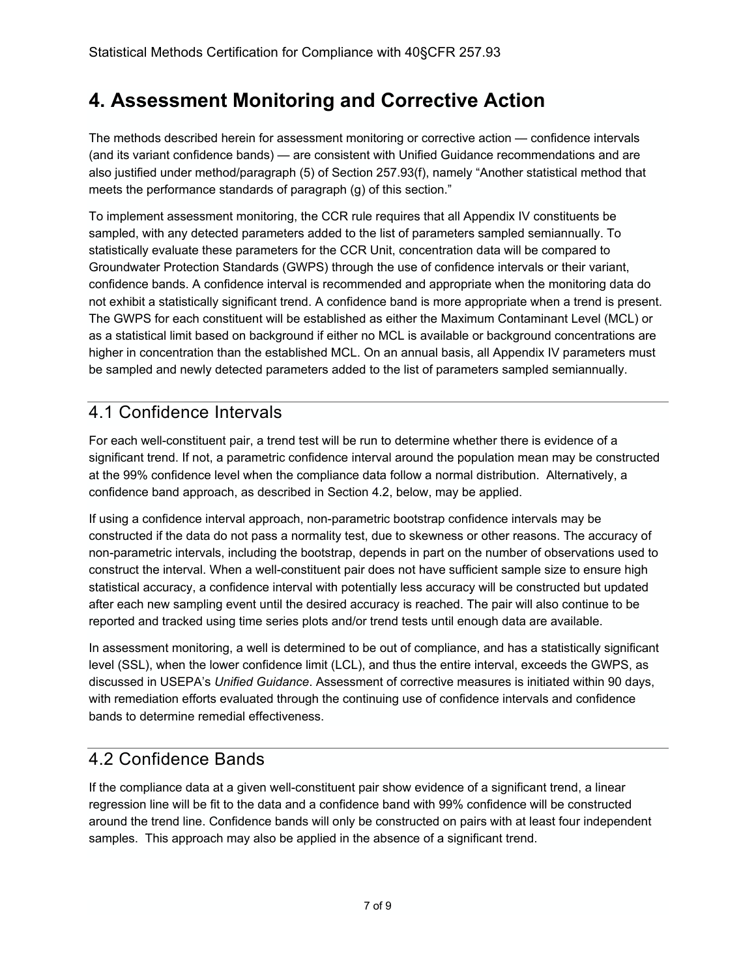### **4. Assessment Monitoring and Corrective Action**

The methods described herein for assessment monitoring or corrective action — confidence intervals (and its variant confidence bands) — are consistent with Unified Guidance recommendations and are also justified under method/paragraph (5) of Section 257.93(f), namely "Another statistical method that meets the performance standards of paragraph (g) of this section."

To implement assessment monitoring, the CCR rule requires that all Appendix IV constituents be sampled, with any detected parameters added to the list of parameters sampled semiannually. To statistically evaluate these parameters for the CCR Unit, concentration data will be compared to Groundwater Protection Standards (GWPS) through the use of confidence intervals or their variant, confidence bands. A confidence interval is recommended and appropriate when the monitoring data do not exhibit a statistically significant trend. A confidence band is more appropriate when a trend is present. The GWPS for each constituent will be established as either the Maximum Contaminant Level (MCL) or as a statistical limit based on background if either no MCL is available or background concentrations are higher in concentration than the established MCL. On an annual basis, all Appendix IV parameters must be sampled and newly detected parameters added to the list of parameters sampled semiannually.

### 4.1 Confidence Intervals

For each well-constituent pair, a trend test will be run to determine whether there is evidence of a significant trend. If not, a parametric confidence interval around the population mean may be constructed at the 99% confidence level when the compliance data follow a normal distribution. Alternatively, a confidence band approach, as described in Section 4.2, below, may be applied.

If using a confidence interval approach, non-parametric bootstrap confidence intervals may be constructed if the data do not pass a normality test, due to skewness or other reasons. The accuracy of non-parametric intervals, including the bootstrap, depends in part on the number of observations used to construct the interval. When a well-constituent pair does not have sufficient sample size to ensure high statistical accuracy, a confidence interval with potentially less accuracy will be constructed but updated after each new sampling event until the desired accuracy is reached. The pair will also continue to be reported and tracked using time series plots and/or trend tests until enough data are available.

In assessment monitoring, a well is determined to be out of compliance, and has a statistically significant level (SSL), when the lower confidence limit (LCL), and thus the entire interval, exceeds the GWPS, as discussed in USEPA's *Unified Guidance*. Assessment of corrective measures is initiated within 90 days, with remediation efforts evaluated through the continuing use of confidence intervals and confidence bands to determine remedial effectiveness.

### 4.2 Confidence Bands

If the compliance data at a given well-constituent pair show evidence of a significant trend, a linear regression line will be fit to the data and a confidence band with 99% confidence will be constructed around the trend line. Confidence bands will only be constructed on pairs with at least four independent samples. This approach may also be applied in the absence of a significant trend.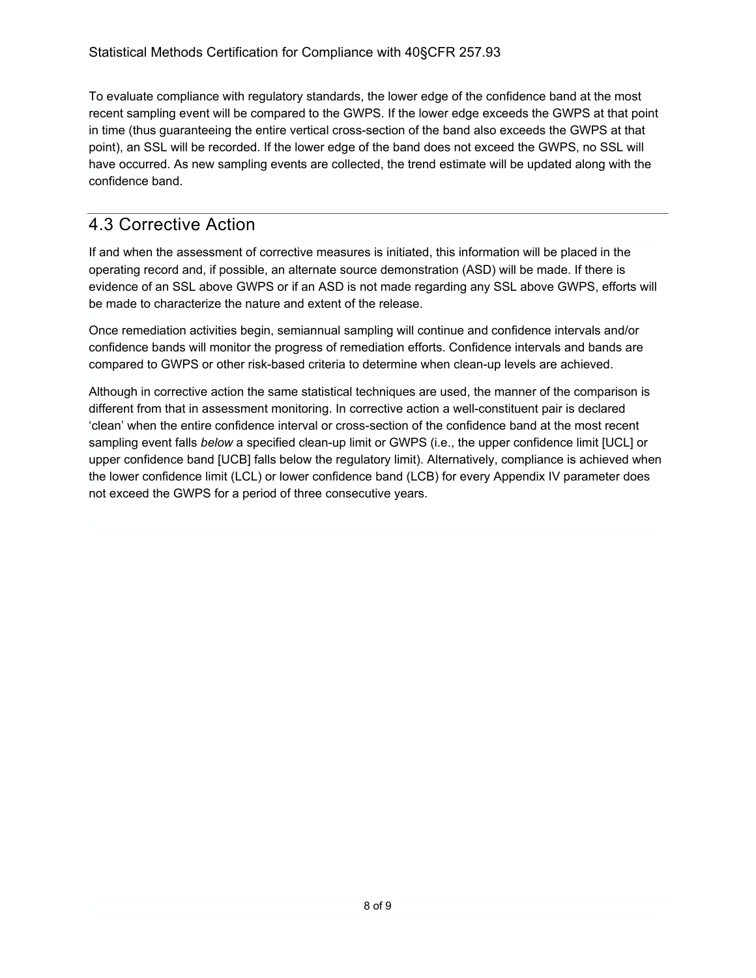To evaluate compliance with regulatory standards, the lower edge of the confidence band at the most recent sampling event will be compared to the GWPS. If the lower edge exceeds the GWPS at that point in time (thus guaranteeing the entire vertical cross-section of the band also exceeds the GWPS at that point), an SSL will be recorded. If the lower edge of the band does not exceed the GWPS, no SSL will have occurred. As new sampling events are collected, the trend estimate will be updated along with the confidence band.

### 4.3 Corrective Action

If and when the assessment of corrective measures is initiated, this information will be placed in the operating record and, if possible, an alternate source demonstration (ASD) will be made. If there is evidence of an SSL above GWPS or if an ASD is not made regarding any SSL above GWPS, efforts will be made to characterize the nature and extent of the release.

Once remediation activities begin, semiannual sampling will continue and confidence intervals and/or confidence bands will monitor the progress of remediation efforts. Confidence intervals and bands are compared to GWPS or other risk-based criteria to determine when clean-up levels are achieved.

Although in corrective action the same statistical techniques are used, the manner of the comparison is different from that in assessment monitoring. In corrective action a well-constituent pair is declared 'clean' when the entire confidence interval or cross-section of the confidence band at the most recent sampling event falls *below* a specified clean-up limit or GWPS (i.e., the upper confidence limit [UCL] or upper confidence band [UCB] falls below the regulatory limit). Alternatively, compliance is achieved when the lower confidence limit (LCL) or lower confidence band (LCB) for every Appendix IV parameter does not exceed the GWPS for a period of three consecutive years.